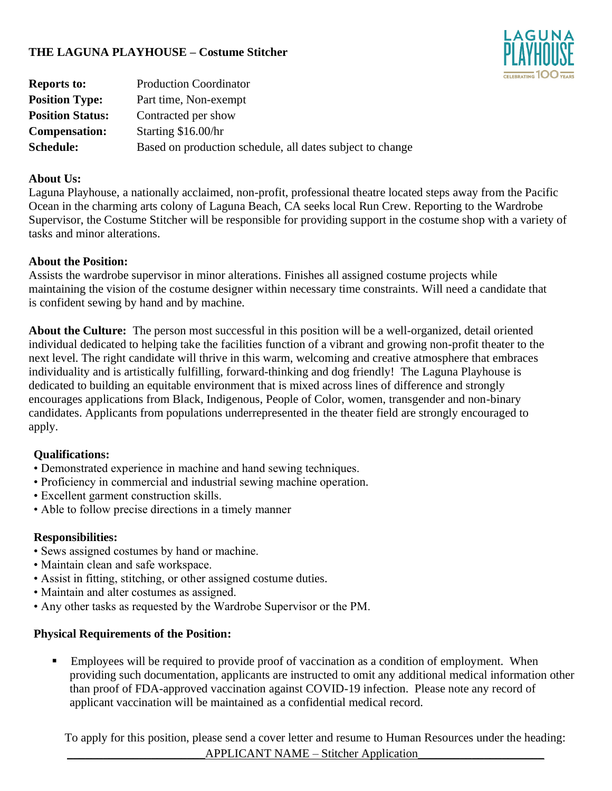# **THE LAGUNA PLAYHOUSE – Costume Stitcher**



| <b>Reports to:</b>      | <b>Production Coordinator</b>                             |
|-------------------------|-----------------------------------------------------------|
| <b>Position Type:</b>   | Part time, Non-exempt                                     |
| <b>Position Status:</b> | Contracted per show                                       |
| <b>Compensation:</b>    | Starting \$16.00/hr                                       |
| <b>Schedule:</b>        | Based on production schedule, all dates subject to change |

### **About Us:**

Laguna Playhouse, a nationally acclaimed, non-profit, professional theatre located steps away from the Pacific Ocean in the charming arts colony of Laguna Beach, CA seeks local Run Crew. Reporting to the Wardrobe Supervisor, the Costume Stitcher will be responsible for providing support in the costume shop with a variety of tasks and minor alterations.

### **About the Position:**

Assists the wardrobe supervisor in minor alterations. Finishes all assigned costume projects while maintaining the vision of the costume designer within necessary time constraints. Will need a candidate that is confident sewing by hand and by machine.

**About the Culture:** The person most successful in this position will be a well-organized, detail oriented individual dedicated to helping take the facilities function of a vibrant and growing non-profit theater to the next level. The right candidate will thrive in this warm, welcoming and creative atmosphere that embraces individuality and is artistically fulfilling, forward-thinking and dog friendly! The Laguna Playhouse is dedicated to building an equitable environment that is mixed across lines of difference and strongly encourages applications from Black, Indigenous, People of Color, women, transgender and non-binary candidates. Applicants from populations underrepresented in the theater field are strongly encouraged to apply.

## **Qualifications:**

- Demonstrated experience in machine and hand sewing techniques.
- Proficiency in commercial and industrial sewing machine operation.
- Excellent garment construction skills.
- Able to follow precise directions in a timely manner

#### **Responsibilities:**

- Sews assigned costumes by hand or machine.
- Maintain clean and safe workspace.
- Assist in fitting, stitching, or other assigned costume duties.
- Maintain and alter costumes as assigned.
- Any other tasks as requested by the Wardrobe Supervisor or the PM.

#### **Physical Requirements of the Position:**

■ Employees will be required to provide proof of vaccination as a condition of employment. When providing such documentation, applicants are instructed to omit any additional medical information other than proof of FDA-approved vaccination against COVID-19 infection. Please note any record of applicant vaccination will be maintained as a confidential medical record.

To apply for this position, please send a cover letter and resume to Human Resources under the heading: APPLICANT NAME – Stitcher Application